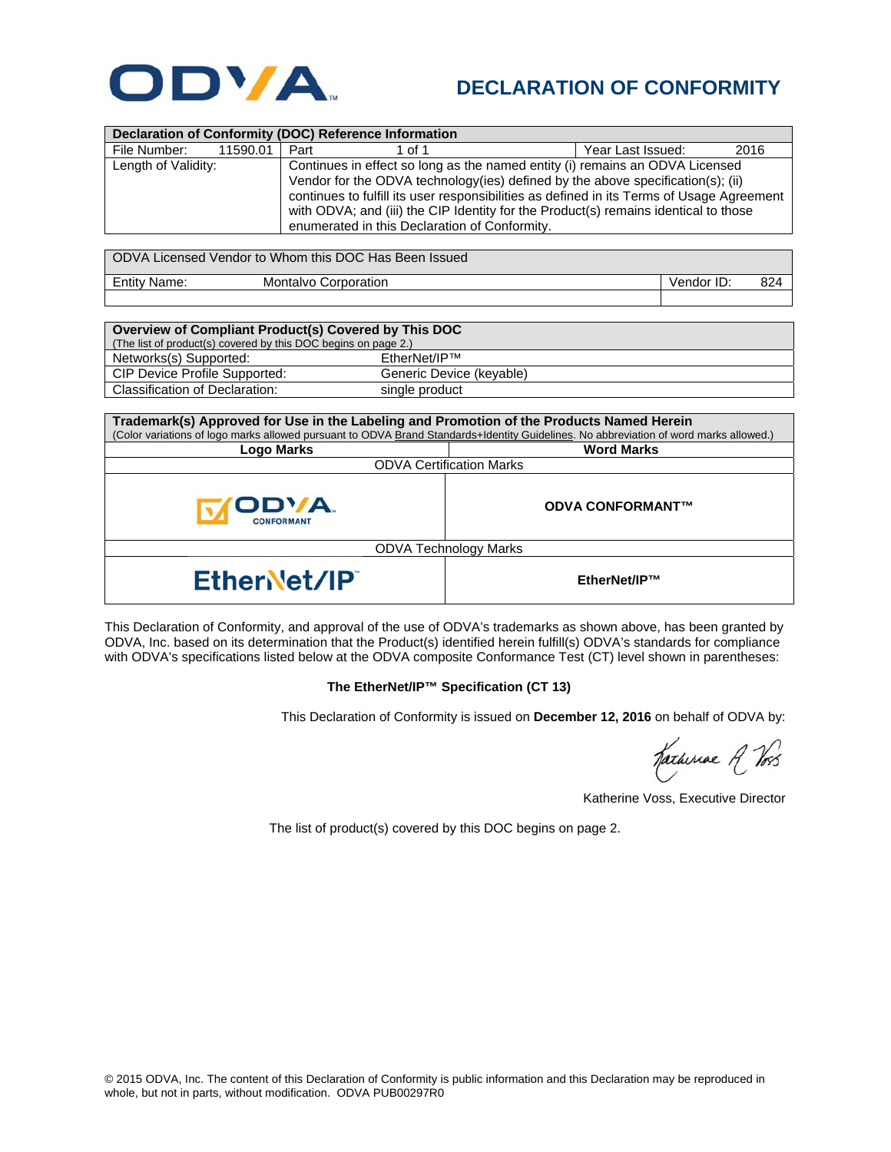

## **DECLARATION OF CONFORMITY**

| <b>Declaration of Conformity (DOC) Reference Information</b> |          |                                                                                                                                                                                                                                                                                                                                                                                                      |                             |                   |            |      |  |  |
|--------------------------------------------------------------|----------|------------------------------------------------------------------------------------------------------------------------------------------------------------------------------------------------------------------------------------------------------------------------------------------------------------------------------------------------------------------------------------------------------|-----------------------------|-------------------|------------|------|--|--|
| File Number:                                                 | 11590.01 | Part                                                                                                                                                                                                                                                                                                                                                                                                 | 1 of 1                      | Year Last Issued: |            | 2016 |  |  |
| Length of Validity:                                          |          | Continues in effect so long as the named entity (i) remains an ODVA Licensed<br>Vendor for the ODVA technology(ies) defined by the above specification(s); (ii)<br>continues to fulfill its user responsibilities as defined in its Terms of Usage Agreement<br>with ODVA; and (iii) the CIP Identity for the Product(s) remains identical to those<br>enumerated in this Declaration of Conformity. |                             |                   |            |      |  |  |
| ODVA Licensed Vendor to Whom this DOC Has Been Issued        |          |                                                                                                                                                                                                                                                                                                                                                                                                      |                             |                   |            |      |  |  |
| <b>Entity Name:</b>                                          |          |                                                                                                                                                                                                                                                                                                                                                                                                      | <b>Montalvo Corporation</b> |                   | Vendor ID: | 824  |  |  |

| Overview of Compliant Product(s) Covered by This DOC           |                          |  |  |  |  |
|----------------------------------------------------------------|--------------------------|--|--|--|--|
| (The list of product(s) covered by this DOC begins on page 2.) |                          |  |  |  |  |
| Networks(s) Supported:                                         | EtherNet/IP™             |  |  |  |  |
| CIP Device Profile Supported:                                  | Generic Device (keyable) |  |  |  |  |
| Classification of Declaration:                                 | single product           |  |  |  |  |

| Trademark(s) Approved for Use in the Labeling and Promotion of the Products Named Herein                                              |                         |  |  |  |  |
|---------------------------------------------------------------------------------------------------------------------------------------|-------------------------|--|--|--|--|
| (Color variations of logo marks allowed pursuant to ODVA Brand Standards+Identity Guidelines. No abbreviation of word marks allowed.) |                         |  |  |  |  |
| Logo Marks                                                                                                                            | <b>Word Marks</b>       |  |  |  |  |
| <b>ODVA Certification Marks</b>                                                                                                       |                         |  |  |  |  |
| ODVA.<br><b>CONFORMANT</b>                                                                                                            | <b>ODVA CONFORMANT™</b> |  |  |  |  |
| <b>ODVA Technology Marks</b>                                                                                                          |                         |  |  |  |  |
| <b>EtherNet/IP</b>                                                                                                                    | EtherNet/IP™            |  |  |  |  |

This Declaration of Conformity, and approval of the use of ODVA's trademarks as shown above, has been granted by ODVA, Inc. based on its determination that the Product(s) identified herein fulfill(s) ODVA's standards for compliance with ODVA's specifications listed below at the ODVA composite Conformance Test (CT) level shown in parentheses:

## **The EtherNet/IP™ Specification (CT 13)**

This Declaration of Conformity is issued on **December 12, 2016** on behalf of ODVA by:

Katheriae A Vos

Katherine Voss, Executive Director

The list of product(s) covered by this DOC begins on page 2.